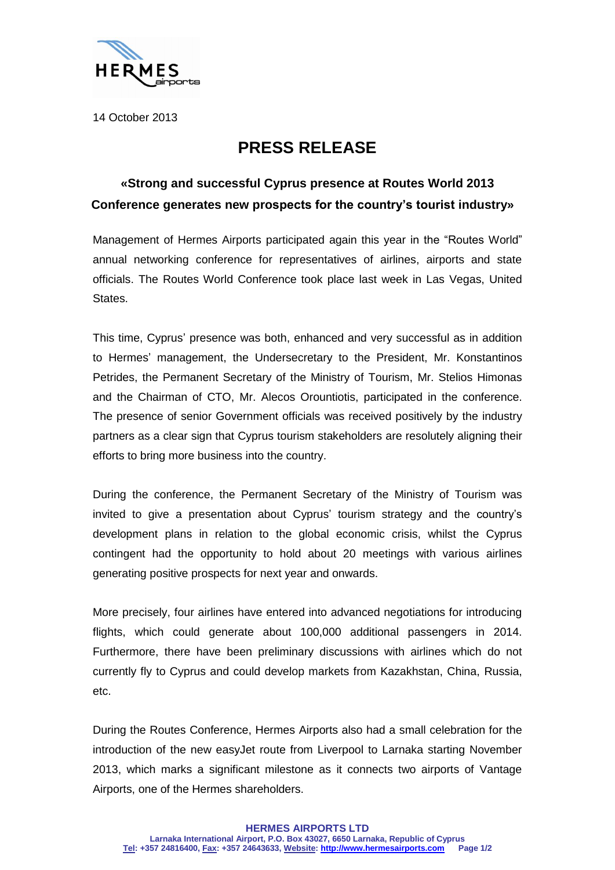

14 October 2013

## **PRESS RELEASE**

## **«Strong and successful Cyprus presence at Routes World 2013 Conference generates new prospects for the country's tourist industry»**

Management of Hermes Airports participated again this year in the "Routes World" annual networking conference for representatives of airlines, airports and state officials. The Routes World Conference took place last week in Las Vegas, United States.

This time, Cyprus' presence was both, enhanced and very successful as in addition to Hermes' management, the Undersecretary to the President, Mr. Konstantinos Petrides, the Permanent Secretary of the Ministry of Tourism, Mr. Stelios Himonas and the Chairman of CTO, Mr. Alecos Orountiotis, participated in the conference. The presence of senior Government officials was received positively by the industry partners as a clear sign that Cyprus tourism stakeholders are resolutely aligning their efforts to bring more business into the country.

During the conference, the Permanent Secretary of the Ministry of Tourism was invited to give a presentation about Cyprus' tourism strategy and the country's development plans in relation to the global economic crisis, whilst the Cyprus contingent had the opportunity to hold about 20 meetings with various airlines generating positive prospects for next year and onwards.

More precisely, four airlines have entered into advanced negotiations for introducing flights, which could generate about 100,000 additional passengers in 2014. Furthermore, there have been preliminary discussions with airlines which do not currently fly to Cyprus and could develop markets from Kazakhstan, China, Russia, etc.

During the Routes Conference, Hermes Airports also had a small celebration for the introduction of the new easyJet route from Liverpool to Larnaka starting November 2013, which marks a significant milestone as it connects two airports of Vantage Airports, one of the Hermes shareholders.